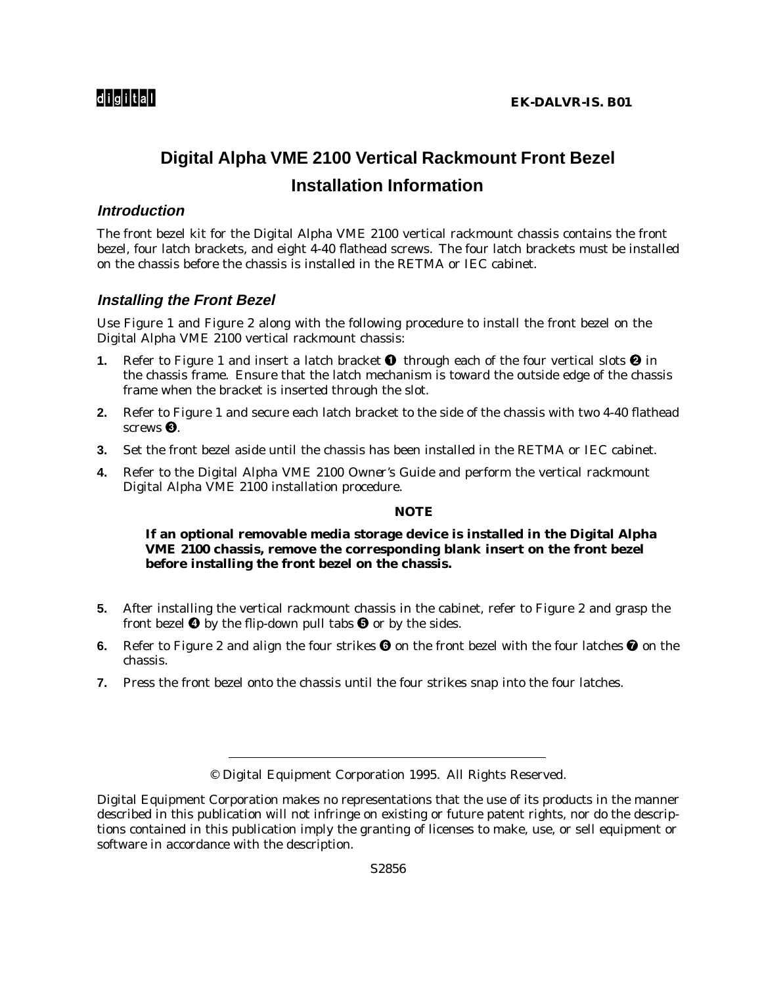# **Digital Alpha VME 2100 Vertical Rackmount Front Bezel Installation Information**

# **Introduction**

The front bezel kit for the Digital Alpha VME 2100 vertical rackmount chassis contains the front bezel, four latch brackets, and eight 4-40 flathead screws. The four latch brackets *must* be installed on the chassis before the chassis is installed in the RETMA or IEC cabinet.

# **Installing the Front Bezel**

Use Figure 1 and Figure 2 along with the following procedure to install the front bezel on the Digital Alpha VME 2100 vertical rackmount chassis:

- **1.** Refer to Figure 1 and insert a latch bracket  $\bullet$  through each of the four vertical slots  $\bullet$  in the chassis frame. Ensure that the latch mechanism is toward the outside edge of the chassis frame when the bracket is inserted through the slot.
- **2.** Refer to Figure 1 and secure each latch bracket to the side of the chassis with two 4-40 flathead screws  $\mathbf{\Theta}$ .
- **3.** Set the front bezel aside until the chassis has been installed in the RETMA or IEC cabinet.
- **4.** Refer to the *Digital Alpha VME 2100 Owner's Guide* and perform the vertical rackmount Digital Alpha VME 2100 installation procedure.

### **NOTE**

### **If an optional removable media storage device is installed in the Digital Alpha VME 2100 chassis, remove the corresponding blank insert on the front bezel before installing the front bezel on the chassis.**

- **5.** After installing the vertical rackmount chassis in the cabinet, refer to Figure 2 and grasp the front bezel  $\bullet$  by the flip-down pull tabs  $\bullet$  or by the sides.
- **6.** Refer to Figure 2 and align the four strikes  $\bf{Q}$  on the front bezel with the four latches  $\bf{Q}$  on the chassis.
- **7.** Press the front bezel onto the chassis until the four strikes snap into the four latches.

<sup>©</sup> Digital Equipment Corporation 1995. All Rights Reserved.

Digital Equipment Corporation makes no representations that the use of its products in the manner described in this publication will not infringe on existing or future patent rights, nor do the descriptions contained in this publication imply the granting of licenses to make, use, or sell equipment or software in accordance with the description.